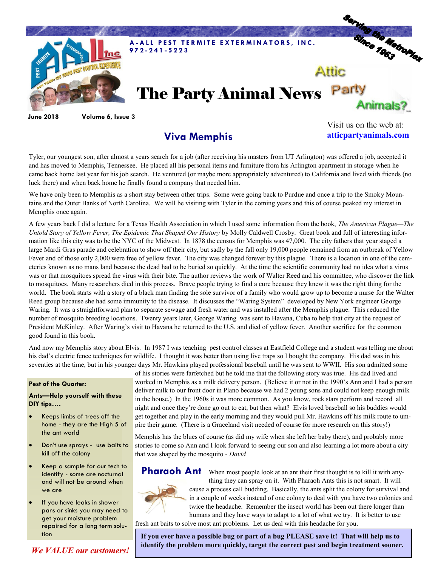

**June 2018 Volume 6, Issue 3**

## **Viva Memphis**

Visit us on the web at: **atticpartyanimals.com**

Tyler, our youngest son, after almost a years search for a job (after receiving his masters from UT Arlington) was offered a job, accepted it and has moved to Memphis, Tennessee. He placed all his personal items and furniture from his Arlington apartment in storage when he came back home last year for his job search. He ventured (or maybe more appropriately adventured) to California and lived with friends (no luck there) and when back home he finally found a company that needed him.

We have only been to Memphis as a short stay between other trips. Some were going back to Purdue and once a trip to the Smoky Mountains and the Outer Banks of North Carolina. We will be visiting with Tyler in the coming years and this of course peaked my interest in Memphis once again.

A few years back I did a lecture for a Texas Health Association in which I used some information from the book, *The American Plague—The Untold Story of Yellow Fever, The Epidemic That Shaped Our History* by Molly Caldwell Crosby. Great book and full of interesting information like this city was to be the NYC of the Midwest. In 1878 the census for Memphis was 47,000. The city fathers that year staged a large Mardi Gras parade and celebration to show off their city, but sadly by the fall only 19,000 people remained from an outbreak of Yellow Fever and of those only 2,000 were free of yellow fever. The city was changed forever by this plague. There is a location in one of the cemeteries known as no mans land because the dead had to be buried so quickly. At the time the scientific community had no idea what a virus was or that mosquitoes spread the virus with their bite. The author reviews the work of Walter Reed and his committee, who discover the link to mosquitoes. Many researchers died in this process. Brave people trying to find a cure because they knew it was the right thing for the world. The book starts with a story of a black man finding the sole survivor of a family who would grow up to become a nurse for the Walter Reed group because she had some immunity to the disease. It discusses the "Waring System" developed by New York engineer George Waring. It was a straightforward plan to separate sewage and fresh water and was installed after the Memphis plague. This reduced the number of mosquito breeding locations. Twenty years later, George Waring was sent to Havana, Cuba to help that city at the request of President McKinley. After Waring's visit to Havana he returned to the U.S. and died of yellow fever. Another sacrifice for the common good found in this book.

And now my Memphis story about Elvis. In 1987 I was teaching pest control classes at Eastfield College and a student was telling me about his dad's electric fence techniques for wildlife. I thought it was better than using live traps so I bought the company. His dad was in his seventies at the time, but in his younger days Mr. Hawkins played professional baseball until he was sent to WWII. His son admitted some

#### **Pest of the Quarter:**

### **Ants—Help yourself with these DIY tips….**

- Keeps limbs of trees off the home - they are the High 5 of the ant world
- Don't use sprays use baits to kill off the colony
- Keep a sample for our tech to identify - some are nocturnal and will not be around when we are
- If you have leaks in shower pans or sinks you may need to get your moisture problem repaired for a long term solution

of his stories were farfetched but he told me that the following story was true. His dad lived and worked in Memphis as a milk delivery person. (Believe it or not in the 1990's Ann and I had a person deliver milk to our front door in Plano because we had 2 young sons and could not keep enough milk in the house.) In the 1960s it was more common. As you know, rock stars perform and record all night and once they're done go out to eat, but then what? Elvis loved baseball so his buddies would get together and play in the early morning and they would pull Mr. Hawkins off his milk route to umpire their game. (There is a Graceland visit needed of course for more research on this story!)

Memphis has the blues of course (as did my wife when she left her baby there), and probably more stories to come so Ann and I look forward to seeing our son and also learning a lot more about a city that was shaped by the mosquito *- David*



Pharaoh Ant When most people look at an ant their first thought is to kill it with anything they can spray on it. With Pharaoh Ants this is not smart. It will cause a process call budding. Basically, the ants split the colony for survival and in a couple of weeks instead of one colony to deal with you have two colonies and twice the headache. Remember the insect world has been out there longer than humans and they have ways to adapt to a lot of what we try. It is better to use

fresh ant baits to solve most ant problems. Let us deal with this headache for you.

**If you ever have a possible bug or part of a bug PLEASE save it! That will help us to identify the problem more quickly, target the correct pest and begin treatment sooner.** 

*We VALUE our customers!*